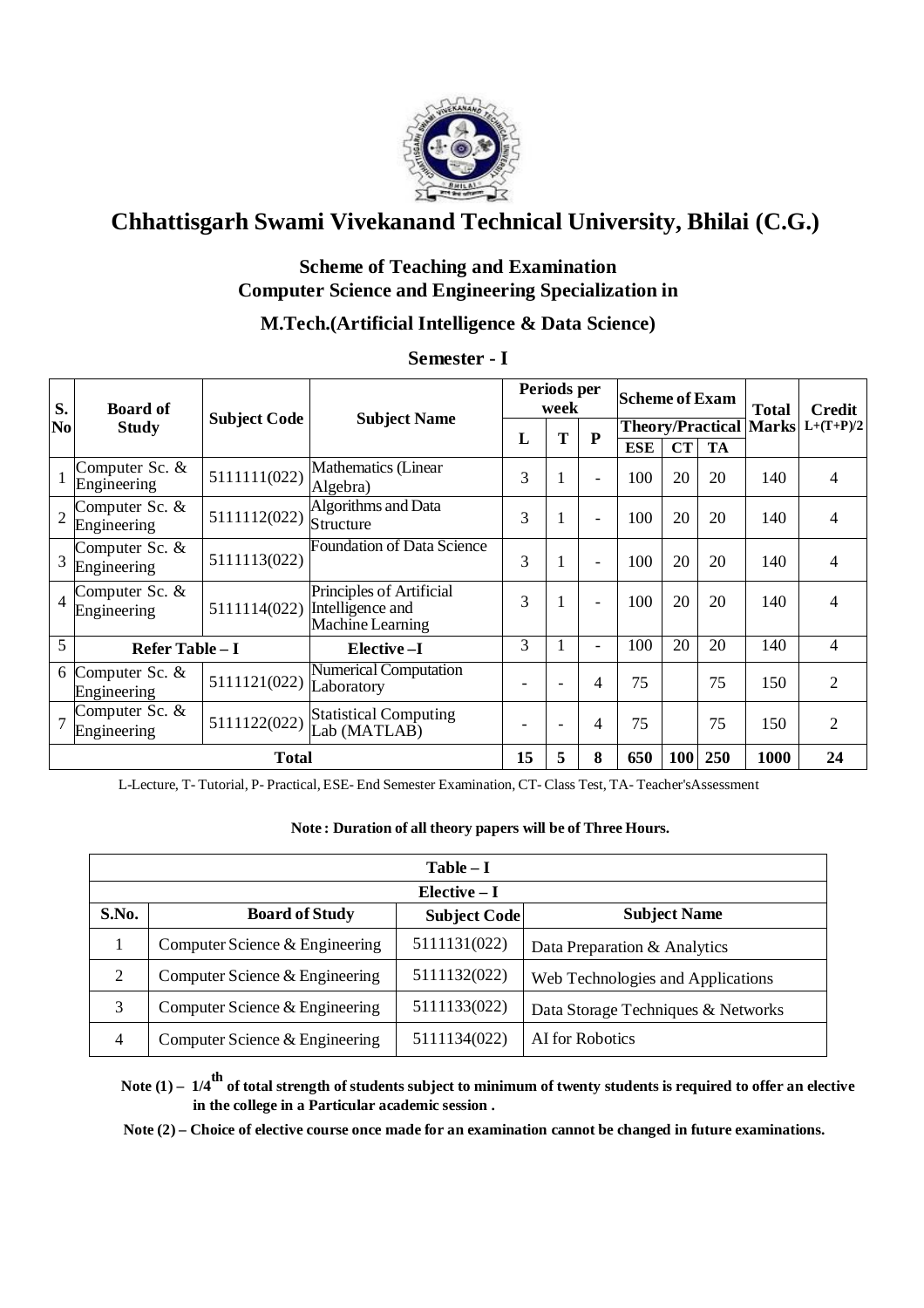

## **Scheme of Teaching and Examination Computer Science and Engineering Specialization in**

## **M.Tech.(Artificial Intelligence & Data Science)**

| S.             | <b>Board of</b>               |                     |                                                                  | Periods per<br>week |                          | <b>Scheme of Exam</b>    |            |                               | <b>Total</b> | Credit |                |
|----------------|-------------------------------|---------------------|------------------------------------------------------------------|---------------------|--------------------------|--------------------------|------------|-------------------------------|--------------|--------|----------------|
| No             | <b>Study</b>                  | <b>Subject Code</b> | <b>Subject Name</b>                                              | L                   | T                        | P                        |            | <b>Theory/Practical Marks</b> |              |        | $L+(T+P)/2$    |
|                |                               |                     |                                                                  |                     |                          |                          | <b>ESE</b> | CT                            | <b>TA</b>    |        |                |
|                | Computer Sc. &<br>Engineering | 5111111(022)        | Mathematics (Linear<br>Algebra)                                  | 3                   |                          | $\overline{\phantom{a}}$ | 100        | 20                            | 20           | 140    | $\overline{4}$ |
| $\overline{2}$ | Computer Sc. &<br>Engineering | 5111112(022)        | Algorithms and Data<br>Structure                                 | 3                   |                          | $\overline{\phantom{a}}$ | 100        | 20                            | 20           | 140    | 4              |
| $\overline{3}$ | Computer Sc. &<br>Engineering | 5111113(022)        | <b>Foundation of Data Science</b>                                | 3                   |                          | $\overline{\phantom{0}}$ | 100        | 20                            | 20           | 140    | 4              |
| $\overline{4}$ | Computer Sc. &<br>Engineering | 5111114(022)        | Principles of Artificial<br>Intelligence and<br>Machine Learning | 3                   |                          |                          | 100        | 20                            | 20           | 140    | 4              |
| 5              | Refer Table - I               |                     | Elective-I                                                       | 3                   |                          | $\overline{\phantom{0}}$ | 100        | 20                            | 20           | 140    | 4              |
| 6              | Computer Sc. &<br>Engineering | 5111121(022)        | <b>Numerical Computation</b><br>Laboratory                       |                     | $\overline{\phantom{0}}$ | 4                        | 75         |                               | 75           | 150    | 2              |
|                | Computer Sc. &<br>Engineering | 5111122(022)        | <b>Statistical Computing</b><br>Lab (MATLAB)                     |                     | $\overline{\phantom{0}}$ | 4                        | 75         |                               | 75           | 150    | $\overline{2}$ |
|                |                               | <b>Total</b>        |                                                                  | 15                  | 5                        | 8                        | 650        | <b>100</b>                    | 250          | 1000   | 24             |

**Semester - I** 

L-Lecture, T- Tutorial, P- Practical, ESE- End Semester Examination, CT- Class Test, TA- Teacher'sAssessment

#### **Note : Duration of all theory papers will be of Three Hours.**

|                | $Table - I$                    |                     |                                    |  |  |  |  |  |  |
|----------------|--------------------------------|---------------------|------------------------------------|--|--|--|--|--|--|
|                | $Elective - I$                 |                     |                                    |  |  |  |  |  |  |
| S.No.          | <b>Board of Study</b>          | <b>Subject Code</b> | <b>Subject Name</b>                |  |  |  |  |  |  |
|                | Computer Science & Engineering | 5111131(022)        | Data Preparation & Analytics       |  |  |  |  |  |  |
| 2              | Computer Science & Engineering | 5111132(022)        | Web Technologies and Applications  |  |  |  |  |  |  |
| 3              | Computer Science & Engineering | 5111133(022)        | Data Storage Techniques & Networks |  |  |  |  |  |  |
| $\overline{4}$ | Computer Science & Engineering | 5111134(022)        | AI for Robotics                    |  |  |  |  |  |  |

**Note (1) – 1/4th of total strength of students subject to minimum of twenty students is required to offer an elective in the college in a Particular academic session .**

 **Note (2) – Choice of elective course once made for an examination cannot be changed in future examinations.**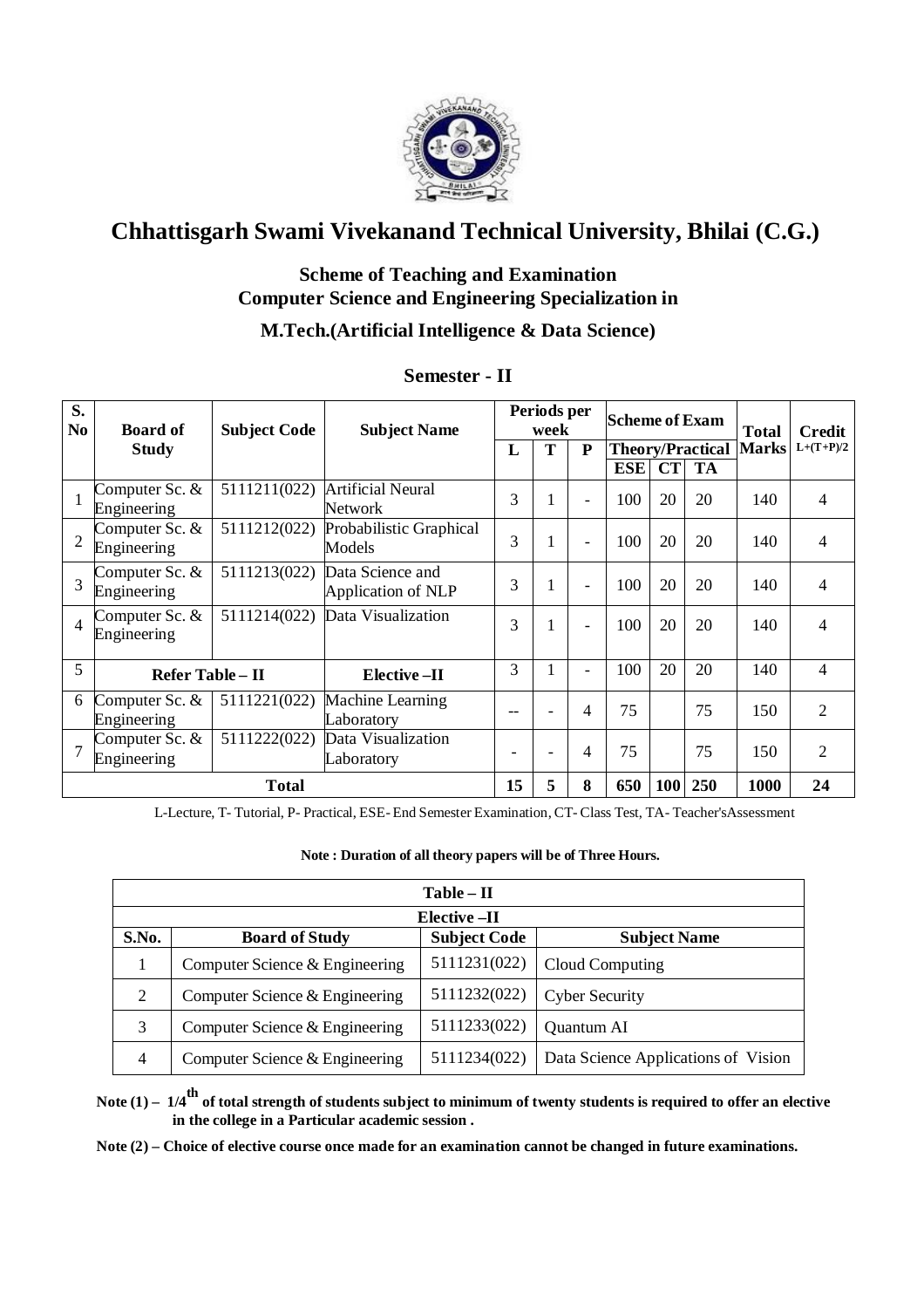

### **Scheme of Teaching and Examination Computer Science and Engineering Specialization in**

### **M.Tech.(Artificial Intelligence & Data Science)**

| S.<br>N <sub>0</sub> | <b>Board of</b>               | <b>Subject Code</b> | <b>Subject Name</b>                           |                 | Periods per<br><b>Scheme of Exam</b><br>week |                          |            |                         | <b>Total</b> | <b>Credit</b> |                |
|----------------------|-------------------------------|---------------------|-----------------------------------------------|-----------------|----------------------------------------------|--------------------------|------------|-------------------------|--------------|---------------|----------------|
|                      | <b>Study</b>                  |                     |                                               | L               | T                                            | P                        |            | <b>Theory/Practical</b> |              | <b>Marks</b>  | $L+(T+P)/2$    |
|                      |                               |                     |                                               |                 |                                              |                          | <b>ESE</b> | CT                      | <b>TA</b>    |               |                |
|                      | Computer Sc. &<br>Engineering | 5111211(022)        | <b>Artificial Neural</b><br><b>Network</b>    | 3               |                                              | $\overline{\phantom{a}}$ | 100        | 20                      | 20           | 140           | $\overline{4}$ |
| $\overline{2}$       | Computer Sc. &<br>Engineering | 5111212(022)        | Probabilistic Graphical<br>Models             | 3               |                                              | $\overline{\phantom{a}}$ | 100        | 20                      | 20           | 140           | $\overline{4}$ |
| 3                    | Computer Sc. &<br>Engineering | 5111213(022)        | Data Science and<br><b>Application of NLP</b> | 3               |                                              | $\overline{\phantom{a}}$ | 100        | 20                      | 20           | 140           | $\overline{4}$ |
| $\overline{4}$       | Computer Sc. &<br>Engineering | 5111214(022)        | Data Visualization                            | 3               |                                              | $\overline{\phantom{a}}$ | 100        | 20                      | 20           | 140           | $\overline{4}$ |
| 5                    | Refer Table - II              |                     | <b>Elective-II</b>                            | 3               |                                              | $\overline{\phantom{0}}$ | 100        | 20                      | 20           | 140           | 4              |
| 6                    | Computer Sc. &<br>Engineering | 5111221(022)        | Machine Learning<br>Laboratory                | --              |                                              | 4                        | 75         |                         | 75           | 150           | $\overline{2}$ |
| $\overline{7}$       | Computer Sc. &<br>Engineering | 5111222(022)        | Data Visualization<br>Laboratory              | $\qquad \qquad$ | $\overline{\phantom{0}}$                     | 4                        | 75         |                         | 75           | 150           | $\overline{2}$ |
|                      |                               | <b>Total</b>        |                                               | 15              | 5                                            | 8                        | 650        | 100                     | 250          | 1000          | 24             |

#### **Semester - II**

L-Lecture, T- Tutorial, P- Practical, ESE- End Semester Examination,CT- Class Test, TA- Teacher'sAssessment

#### **Note : Duration of all theory papers will be of Three Hours.**

|                | $Table - II$                   |                     |                                     |  |  |  |  |  |  |  |
|----------------|--------------------------------|---------------------|-------------------------------------|--|--|--|--|--|--|--|
|                | Elective -II                   |                     |                                     |  |  |  |  |  |  |  |
| S.No.          | <b>Board of Study</b>          | <b>Subject Code</b> | <b>Subject Name</b>                 |  |  |  |  |  |  |  |
|                | Computer Science & Engineering | 5111231(022)        | Cloud Computing                     |  |  |  |  |  |  |  |
| 2              | Computer Science & Engineering | 5111232(022)        | <b>Cyber Security</b>               |  |  |  |  |  |  |  |
| 3              | Computer Science & Engineering | 5111233(022)        | Quantum AI                          |  |  |  |  |  |  |  |
| $\overline{4}$ | Computer Science & Engineering | 5111234(022)        | Data Science Applications of Vision |  |  |  |  |  |  |  |

**Note (1) – 1/4th of total strength of students subject to minimum of twenty students is required to offer an elective in the college in a Particular academic session .**

**Note (2) – Choice of elective course once made for an examination cannot be changed in future examinations.**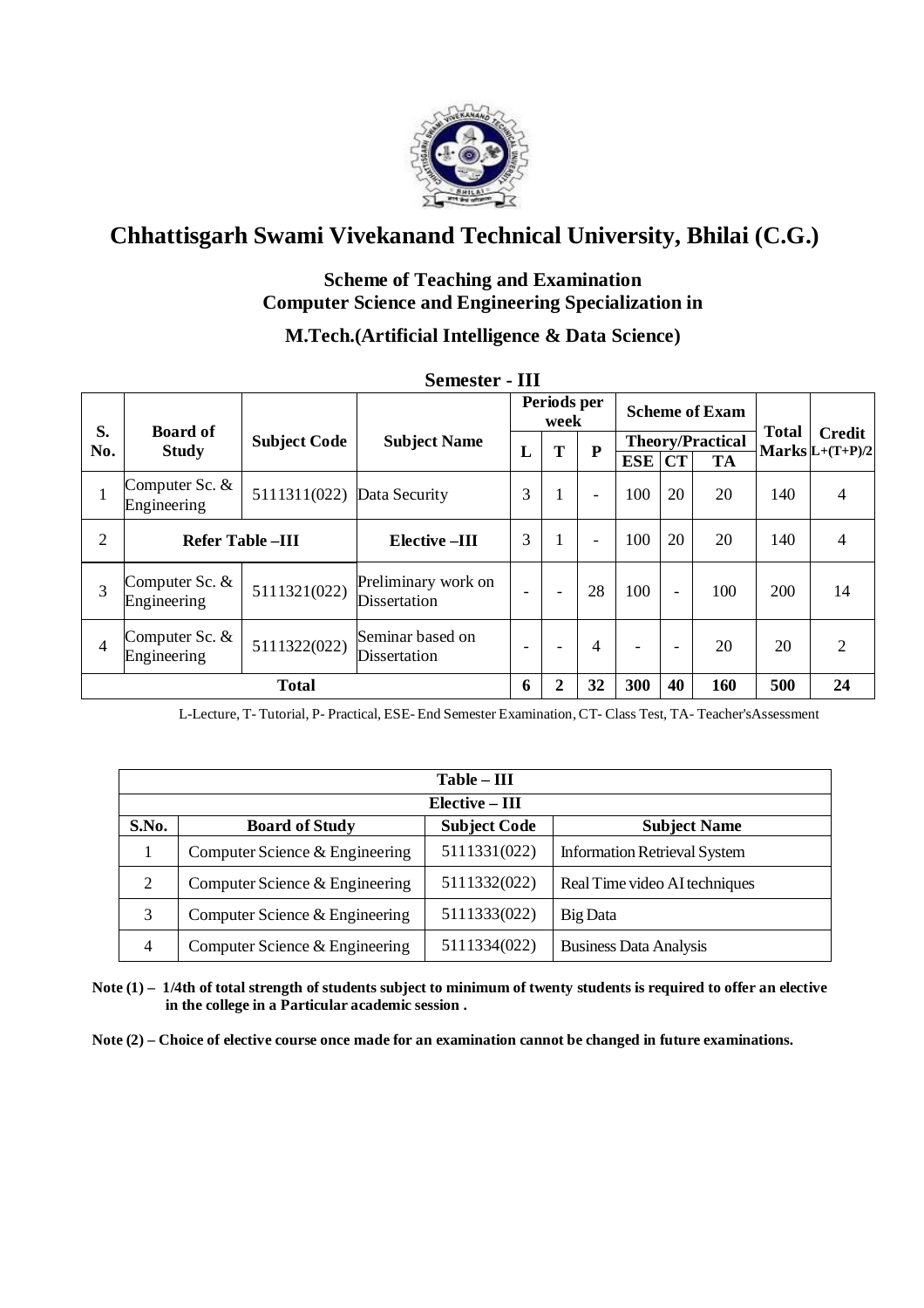

### **Scheme of Teaching and Examination Computer Science and Engineering Specialization in**

## **M.Tech.(Artificial Intelligence & Data Science)**

| S.  | <b>Board of</b>                 |                            |                                     | Periods per<br>week      |                |                          | <b>Scheme of Exam</b>    |                          |                         |     |                          |              |                                       |
|-----|---------------------------------|----------------------------|-------------------------------------|--------------------------|----------------|--------------------------|--------------------------|--------------------------|-------------------------|-----|--------------------------|--------------|---------------------------------------|
| No. | <b>Study</b>                    | <b>Subject Code</b>        | <b>Subject Name</b>                 | L                        | ${\bf P}$<br>T |                          |                          |                          | <b>Theory/Practical</b> |     |                          | <b>Total</b> | <b>Credit</b><br>$Marks$ L+ $(T+P)/2$ |
|     |                                 |                            |                                     |                          |                |                          | <b>ESE</b>               | CT                       | TA                      |     |                          |              |                                       |
|     | Computer Sc. &<br>Engineering   | 5111311(022) Data Security |                                     | 3                        |                | $\overline{\phantom{a}}$ | 100                      | 20                       | 20                      | 140 | 4                        |              |                                       |
| 2   | <b>Refer Table-III</b>          |                            | <b>Elective -III</b>                | 3                        |                | $\overline{\phantom{a}}$ | 100                      | 20                       | 20                      | 140 | $\overline{\mathcal{L}}$ |              |                                       |
| 3   | Computer Sc. $&$<br>Engineering | 5111321(022)               | Preliminary work on<br>Dissertation |                          | -              | 28                       | 100                      | $\overline{\phantom{0}}$ | 100                     | 200 | 14                       |              |                                       |
| 4   | Computer Sc. &<br>Engineering   | 5111322(022)               | Seminar based on<br>Dissertation    | $\overline{\phantom{0}}$ |                | 4                        | $\overline{\phantom{a}}$ | $\overline{\phantom{0}}$ | 20                      | 20  | $\overline{2}$           |              |                                       |
|     | <b>Total</b>                    |                            |                                     | 6                        | $\mathbf{2}$   | 32                       | 300                      | 40                       | 160                     | 500 | 24                       |              |                                       |

**Semester - III**

L-Lecture, T- Tutorial, P- Practical, ESE- End Semester Examination,CT- Class Test, TA- Teacher'sAssessment

|       | $Table - III$                  |                     |                                     |  |  |  |  |  |  |
|-------|--------------------------------|---------------------|-------------------------------------|--|--|--|--|--|--|
|       | Elective – III                 |                     |                                     |  |  |  |  |  |  |
| S.No. | <b>Board of Study</b>          | <b>Subject Code</b> | <b>Subject Name</b>                 |  |  |  |  |  |  |
|       | Computer Science & Engineering | 5111331(022)        | <b>Information Retrieval System</b> |  |  |  |  |  |  |
| 2     | Computer Science & Engineering | 5111332(022)        | Real Time video AI techniques       |  |  |  |  |  |  |
| 3     | Computer Science & Engineering | 5111333(022)        | Big Data                            |  |  |  |  |  |  |
| 4     | Computer Science & Engineering | 5111334(022)        | <b>Business Data Analysis</b>       |  |  |  |  |  |  |

**Note (1) – 1/4th of total strength of students subject to minimum of twenty students is required to offer an elective in the college in a Particular academic session .**

**Note (2) – Choice of elective course once made for an examination cannot be changed in future examinations.**